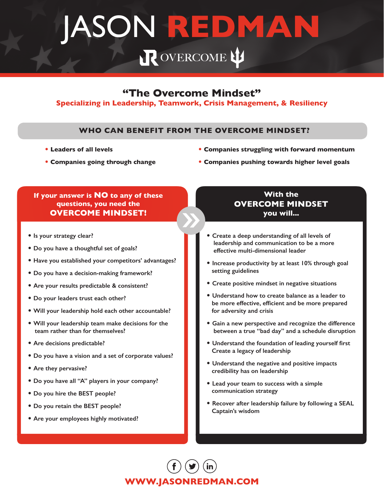# JASON **REDMAN**R OVERCOME

## **"The Overcome Mindset"**

### **Specializing in Leadership, Teamwork, Crisis Management, & Resiliency**

### **WHO CAN BENEFIT FROM THE OVERCOME MINDSET?**

• **Leaders of all levels**

- **Companies struggling with forward momentum**
- **Companies going through change**
- **Companies pushing towards higher level goals**

### **If your answer is NO to any of these questions, you need the OVERCOME MINDSET!**

- **Is your strategy clear?**
- **Do you have a thoughtful set of goals?**
- **Have you established your competitors' advantages?**
- **Do you have a decision-making framework?**
- **Are your results predictable & consistent?**
- **Do your leaders trust each other?**
- **Will your leadership hold each other accountable?**
- **Will your leadership team make decisions for the team rather than for themselves?**
- **Are decisions predictable?**
- **Do you have a vision and a set of corporate values?**
- **Are they pervasive?**
- **Do you have all "A" players in your company?**
- **Do you hire the BEST people?**
- **Do you retain the BEST people?**
- **Are your employees highly motivated?**

### **With the OVERCOME MINDSET you will...**

- **Create a deep understanding of all levels of leadership and communication to be a more effective multi-dimensional leader**
- **Increase productivity by at least 10% through goal setting guidelines**
- **Create positive mindset in negative situations**
- **Understand how to create balance as a leader to be more effective, efficient and be more prepared for adversity and crisis**
- **Gain a new perspective and recognize the difference between a true "bad day" and a schedule disruption**
- **Understand the foundation of leading yourself first Create a legacy of leadership**
- **Understand the negative and positive impacts credibility has on leadership**
- **Lead your team to success with a simple communication strategy**
- **Recover after leadership failure by following a SEAL Captain's wisdom**